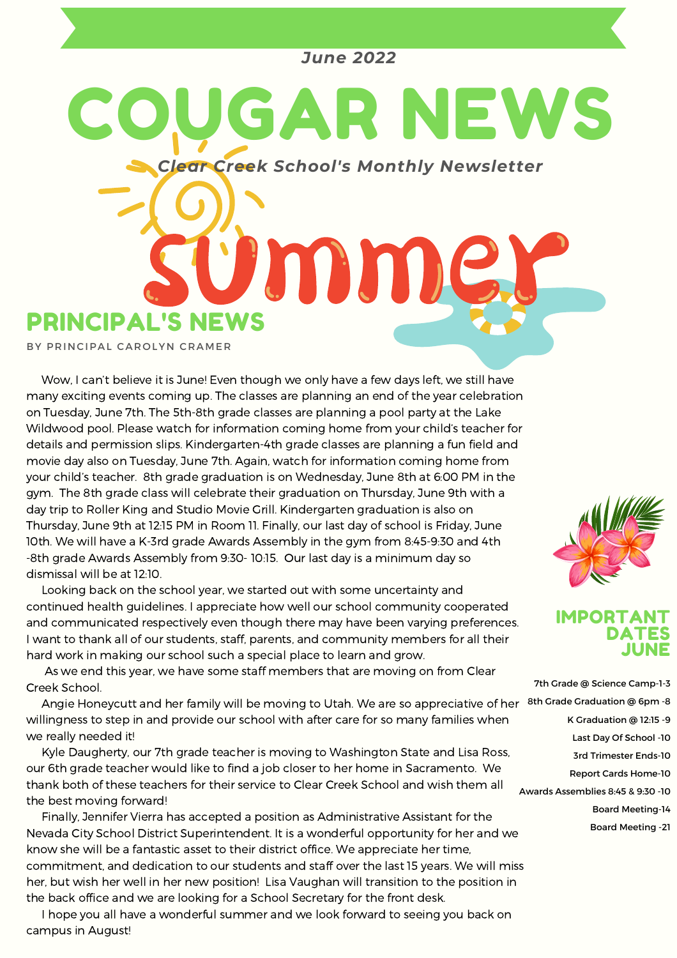### *June 2022*

*Clear Creek School's Monthly Newsletter*

umm

OUGAR NEWS

PRINCIPAL'S NEWS

BY PRINCIPAL CAROLYN CRAMER

Wow, I can't believe it is June! Even though we only have a few days left, we still have many exciting events coming up. The classes are planning an end of the year celebration on Tuesday, June 7th. The 5th-8th grade classes are planning a pool party at the Lake Wildwood pool. Please watch for information coming home from your child's teacher for details and permission slips. Kindergarten-4th grade classes are planning a fun field and movie day also on Tuesday, June 7th. Again, watch for information coming home from your child's teacher. 8th grade graduation is on Wednesday, June 8th at 6:00 PM in the gym. The 8th grade class will celebrate their graduation on Thursday, June 9th with a day trip to Roller King and Studio Movie Grill. Kindergarten graduation is also on Thursday, June 9th at 12:15 PM in Room 11. Finally, our last day of school is Friday, June 10th. We will have a K-3rd grade Awards Assembly in the gym from 8:45-9:30 and 4th -8th grade Awards Assembly from 9:30- 10:15. Our last day is a minimum day so dismissal will be at 12:10.

Looking back on the school year, we started out with some uncertainty and continued health guidelines. I appreciate how well our school community cooperated and communicated respectively even though there may have been varying preferences. I want to thank all of our students, staff, parents, and community members for all their hard work in making our school such a special place to learn and grow.

As we end this year, we have some staff members that are moving on from Clear Creek School.

Angie Honeycutt and her family will be moving to Utah. We are so appreciative of her 8th Grade Graduation @ 6pm -8 willingness to step in and provide our school with after care for so many families when we really needed it!

Kyle Daugherty, our 7th grade teacher is moving to Washington State and Lisa Ross, our 6th grade teacher would like to find a job closer to her home in Sacramento. We thank both of these teachers for their service to Clear Creek School and wish them all the best moving forward!

Finally, Jennifer Vierra has accepted a position as Administrative Assistant for the Nevada City School District Superintendent. It is a wonderful opportunity for her and we know she will be a fantastic asset to their district office. We appreciate her time, commitment, and dedication to our students and staff over the last 15 years. We will miss her, but wish her well in her new position! Lisa Vaughan will transition to the position in the back office and we are looking for a School Secretary for the front desk.

I hope you all have a wonderful summer and we look forward to seeing you back on campus in August!



#### IMPORTANT DATES JUNE

7th Grade @ Science Camp-1-3 K Graduation @ 12:15 -9 Last Day Of School -10 3rd Trimester Ends-10 Report Cards Home-10 Awards Assemblies 8:45 & 9:30 -10 Board Meeting-14 Board Meeting -21